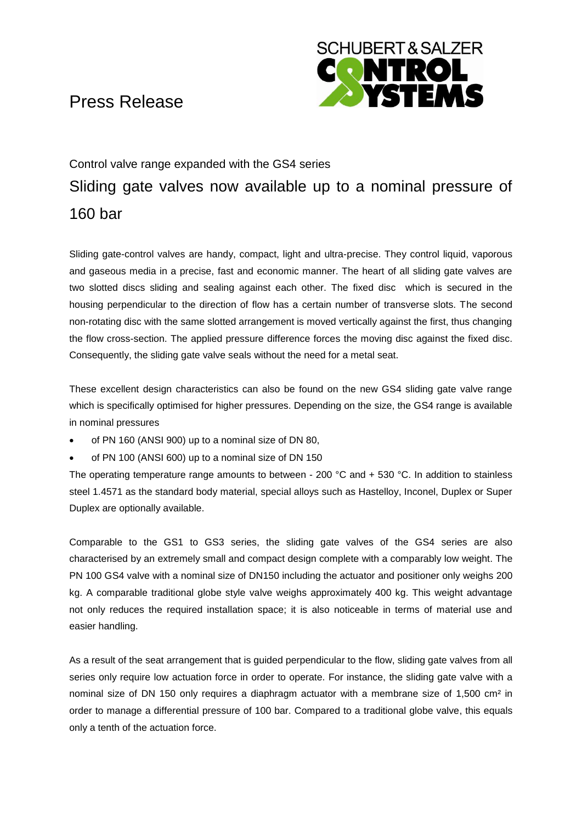## Press Release



# Control valve range expanded with the GS4 series Sliding gate valves now available up to a nominal pressure of 160 bar

Sliding gate-control valves are handy, compact, light and ultra-precise. They control liquid, vaporous and gaseous media in a precise, fast and economic manner. The heart of all sliding gate valves are two slotted discs sliding and sealing against each other. The fixed disc which is secured in the housing perpendicular to the direction of flow has a certain number of transverse slots. The second non-rotating disc with the same slotted arrangement is moved vertically against the first, thus changing the flow cross-section. The applied pressure difference forces the moving disc against the fixed disc. Consequently, the sliding gate valve seals without the need for a metal seat.

These excellent design characteristics can also be found on the new GS4 sliding gate valve range which is specifically optimised for higher pressures. Depending on the size, the GS4 range is available in nominal pressures

- of PN 160 (ANSI 900) up to a nominal size of DN 80,
- of PN 100 (ANSI 600) up to a nominal size of DN 150

The operating temperature range amounts to between - 200  $^{\circ}$ C and + 530  $^{\circ}$ C. In addition to stainless steel 1.4571 as the standard body material, special alloys such as Hastelloy, Inconel, Duplex or Super Duplex are optionally available.

Comparable to the GS1 to GS3 series, the sliding gate valves of the GS4 series are also characterised by an extremely small and compact design complete with a comparably low weight. The PN 100 GS4 valve with a nominal size of DN150 including the actuator and positioner only weighs 200 kg. A comparable traditional globe style valve weighs approximately 400 kg. This weight advantage not only reduces the required installation space; it is also noticeable in terms of material use and easier handling.

As a result of the seat arrangement that is guided perpendicular to the flow, sliding gate valves from all series only require low actuation force in order to operate. For instance, the sliding gate valve with a nominal size of DN 150 only requires a diaphragm actuator with a membrane size of 1,500 cm² in order to manage a differential pressure of 100 bar. Compared to a traditional globe valve, this equals only a tenth of the actuation force.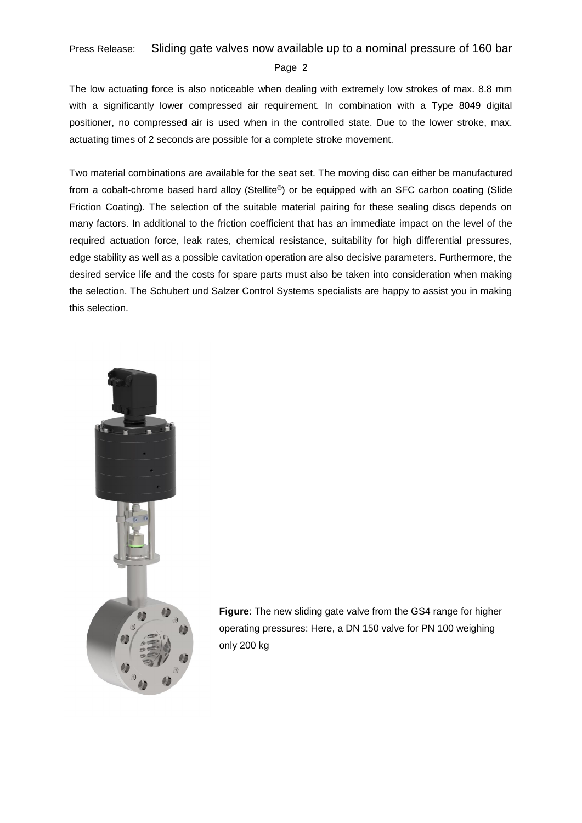## Press Release: Sliding gate valves now available up to a nominal pressure of 160 bar

#### Page 2

The low actuating force is also noticeable when dealing with extremely low strokes of max. 8.8 mm with a significantly lower compressed air requirement. In combination with a Type 8049 digital positioner, no compressed air is used when in the controlled state. Due to the lower stroke, max. actuating times of 2 seconds are possible for a complete stroke movement.

Two material combinations are available for the seat set. The moving disc can either be manufactured from a cobalt-chrome based hard alloy (Stellite®) or be equipped with an SFC carbon coating (Slide Friction Coating). The selection of the suitable material pairing for these sealing discs depends on many factors. In additional to the friction coefficient that has an immediate impact on the level of the required actuation force, leak rates, chemical resistance, suitability for high differential pressures, edge stability as well as a possible cavitation operation are also decisive parameters. Furthermore, the desired service life and the costs for spare parts must also be taken into consideration when making the selection. The Schubert und Salzer Control Systems specialists are happy to assist you in making this selection.



**Figure**: The new sliding gate valve from the GS4 range for higher operating pressures: Here, a DN 150 valve for PN 100 weighing only 200 kg